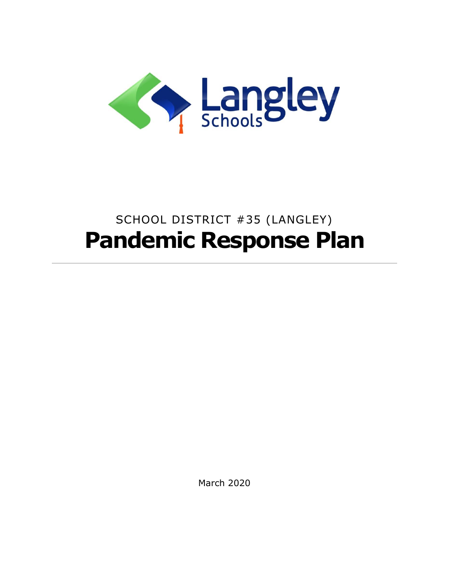

# SCHOOL DISTRICT #35 (LANGLEY) **Pandemic Response Plan**

March 2020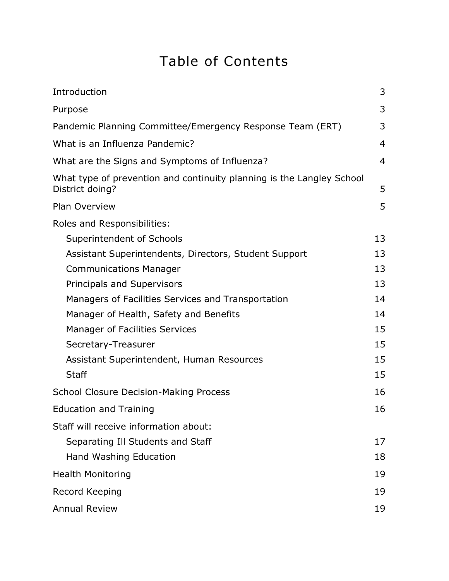## Table of Contents

| Introduction                                                                             | 3              |
|------------------------------------------------------------------------------------------|----------------|
| Purpose                                                                                  | 3              |
| Pandemic Planning Committee/Emergency Response Team (ERT)                                | 3              |
| What is an Influenza Pandemic?                                                           | $\overline{4}$ |
| What are the Signs and Symptoms of Influenza?                                            | $\overline{4}$ |
| What type of prevention and continuity planning is the Langley School<br>District doing? | 5              |
| <b>Plan Overview</b>                                                                     | 5              |
| Roles and Responsibilities:                                                              |                |
| Superintendent of Schools                                                                | 13             |
| Assistant Superintendents, Directors, Student Support                                    | 13             |
| <b>Communications Manager</b>                                                            | 13             |
| Principals and Supervisors                                                               | 13             |
| Managers of Facilities Services and Transportation                                       | 14             |
| Manager of Health, Safety and Benefits                                                   | 14             |
| <b>Manager of Facilities Services</b>                                                    | 15             |
| Secretary-Treasurer                                                                      | 15             |
| Assistant Superintendent, Human Resources                                                | 15             |
| <b>Staff</b>                                                                             | 15             |
| <b>School Closure Decision-Making Process</b>                                            | 16             |
| <b>Education and Training</b>                                                            | 16             |
| Staff will receive information about:                                                    |                |
| Separating Ill Students and Staff                                                        | 17             |
| Hand Washing Education                                                                   | 18             |
| <b>Health Monitoring</b>                                                                 | 19             |
| Record Keeping                                                                           | 19             |
| <b>Annual Review</b>                                                                     | 19             |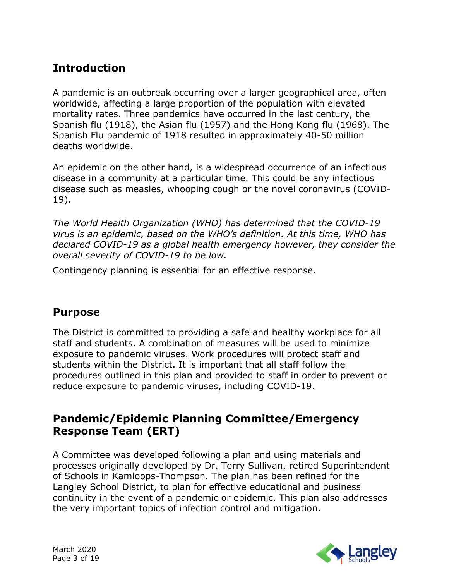## **Introduction**

A pandemic is an outbreak occurring over a larger geographical area, often worldwide, affecting a large proportion of the population with elevated mortality rates. Three pandemics have occurred in the last century, the Spanish flu (1918), the Asian flu (1957) and the Hong Kong flu (1968). The Spanish Flu pandemic of 1918 resulted in approximately 40-50 million deaths worldwide.

An epidemic on the other hand, is a widespread occurrence of an infectious disease in a community at a particular time. This could be any infectious disease such as measles, whooping cough or the novel coronavirus (COVID-19).

*The World Health Organization (WHO) has determined that the COVID-19 virus is an epidemic, based on the WHO's definition. At this time, WHO has declared COVID-19 as a global health emergency however, they consider the overall severity of COVID-19 to be low.* 

Contingency planning is essential for an effective response.

#### **Purpose**

The District is committed to providing a safe and healthy workplace for all staff and students. A combination of measures will be used to minimize exposure to pandemic viruses. Work procedures will protect staff and students within the District. It is important that all staff follow the procedures outlined in this plan and provided to staff in order to prevent or reduce exposure to pandemic viruses, including COVID-19.

## **Pandemic/Epidemic Planning Committee/Emergency Response Team (ERT)**

A Committee was developed following a plan and using materials and processes originally developed by Dr. Terry Sullivan, retired Superintendent of Schools in Kamloops-Thompson. The plan has been refined for the Langley School District, to plan for effective educational and business continuity in the event of a pandemic or epidemic. This plan also addresses the very important topics of infection control and mitigation.

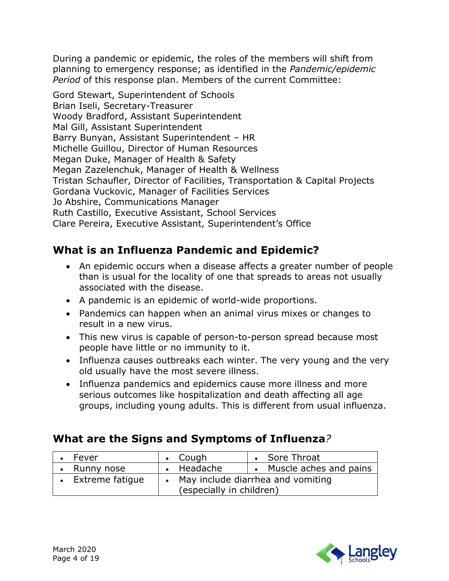During a pandemic or epidemic, the roles of the members will shift from planning to emergency response; as identified in the *Pandemic/epidemic Period* of this response plan. Members of the current Committee:

Gord Stewart, Superintendent of Schools Brian Iseli, Secretary-Treasurer Woody Bradford, Assistant Superintendent Mal Gill, Assistant Superintendent Barry Bunyan, Assistant Superintendent – HR Michelle Guillou, Director of Human Resources Megan Duke, Manager of Health & Safety Megan Zazelenchuk, Manager of Health & Wellness Tristan Schaufler, Director of Facilities, Transportation & Capital Projects Gordana Vuckovic, Manager of Facilities Services Jo Abshire, Communications Manager Ruth Castillo, Executive Assistant, School Services Clare Pereira, Executive Assistant, Superintendent's Office

## **What is an Influenza Pandemic and Epidemic?**

- An epidemic occurs when a disease affects a greater number of people than is usual for the locality of one that spreads to areas not usually associated with the disease.
- A pandemic is an epidemic of world-wide proportions.
- Pandemics can happen when an animal virus mixes or changes to result in a new virus.
- This new virus is capable of person-to-person spread because most people have little or no immunity to it.
- Influenza causes outbreaks each winter. The very young and the very old usually have the most severe illness.
- Influenza pandemics and epidemics cause more illness and more serious outcomes like hospitalization and death affecting all age groups, including young adults. This is different from usual influenza.

## **What are the Signs and Symptoms of Influenza***?*

| Fever                    | $\cdot$ Cough                       | Sore Throat              |
|--------------------------|-------------------------------------|--------------------------|
| Runny nose               | • Headache                          | • Muscle aches and pains |
| <b>Extreme fatique</b>   | • May include diarrhea and vomiting |                          |
| (especially in children) |                                     |                          |

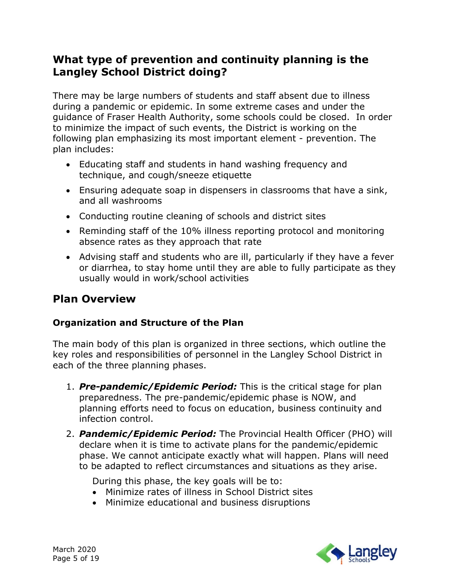## **What type of prevention and continuity planning is the Langley School District doing?**

There may be large numbers of students and staff absent due to illness during a pandemic or epidemic. In some extreme cases and under the guidance of Fraser Health Authority, some schools could be closed. In order to minimize the impact of such events, the District is working on the following plan emphasizing its most important element - prevention. The plan includes:

- Educating staff and students in hand washing frequency and technique, and cough/sneeze etiquette
- Ensuring adequate soap in dispensers in classrooms that have a sink, and all washrooms
- Conducting routine cleaning of schools and district sites
- Reminding staff of the 10% illness reporting protocol and monitoring absence rates as they approach that rate
- Advising staff and students who are ill, particularly if they have a fever or diarrhea, to stay home until they are able to fully participate as they usually would in work/school activities

## **Plan Overview**

#### **Organization and Structure of the Plan**

The main body of this plan is organized in three sections, which outline the key roles and responsibilities of personnel in the Langley School District in each of the three planning phases.

- 1. *Pre-pandemic/Epidemic Period:* This is the critical stage for plan preparedness. The pre-pandemic/epidemic phase is NOW, and planning efforts need to focus on education, business continuity and infection control.
- 2. *Pandemic/Epidemic Period:* The Provincial Health Officer (PHO) will declare when it is time to activate plans for the pandemic/epidemic phase. We cannot anticipate exactly what will happen. Plans will need to be adapted to reflect circumstances and situations as they arise.

During this phase, the key goals will be to:

- Minimize rates of illness in School District sites
- Minimize educational and business disruptions

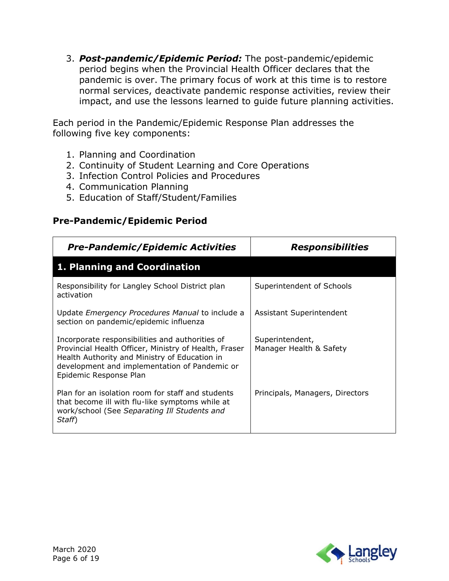3. *Post-pandemic/Epidemic Period:* The post-pandemic/epidemic period begins when the Provincial Health Officer declares that the pandemic is over. The primary focus of work at this time is to restore normal services, deactivate pandemic response activities, review their impact, and use the lessons learned to guide future planning activities.

Each period in the Pandemic/Epidemic Response Plan addresses the following five key components:

- 1. Planning and Coordination
- 2. Continuity of Student Learning and Core Operations
- 3. Infection Control Policies and Procedures
- 4. Communication Planning
- 5. Education of Staff/Student/Families

#### **Pre-Pandemic/Epidemic Period**

| <b>Pre-Pandemic/Epidemic Activities</b>                                                                                                                                                                                              | <i><b>Responsibilities</b></i>             |
|--------------------------------------------------------------------------------------------------------------------------------------------------------------------------------------------------------------------------------------|--------------------------------------------|
| 1. Planning and Coordination                                                                                                                                                                                                         |                                            |
| Responsibility for Langley School District plan<br>activation                                                                                                                                                                        | Superintendent of Schools                  |
| Update Emergency Procedures Manual to include a<br>section on pandemic/epidemic influenza                                                                                                                                            | Assistant Superintendent                   |
| Incorporate responsibilities and authorities of<br>Provincial Health Officer, Ministry of Health, Fraser<br>Health Authority and Ministry of Education in<br>development and implementation of Pandemic or<br>Epidemic Response Plan | Superintendent,<br>Manager Health & Safety |
| Plan for an isolation room for staff and students<br>that become ill with flu-like symptoms while at<br>work/school (See Separating Ill Students and<br>Staff)                                                                       | Principals, Managers, Directors            |

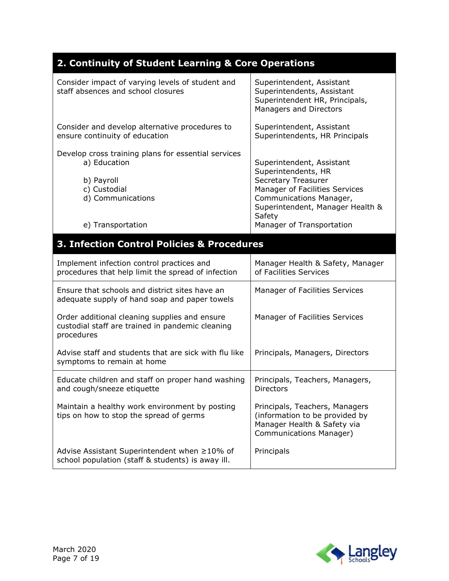## **2. Continuity of Student Learning & Core Operations**

| Consider impact of varying levels of student and<br>staff absences and school closures                                                      | Superintendent, Assistant<br>Superintendents, Assistant<br>Superintendent HR, Principals,<br>Managers and Directors                                                                                             |
|---------------------------------------------------------------------------------------------------------------------------------------------|-----------------------------------------------------------------------------------------------------------------------------------------------------------------------------------------------------------------|
| Consider and develop alternative procedures to<br>ensure continuity of education                                                            | Superintendent, Assistant<br>Superintendents, HR Principals                                                                                                                                                     |
| Develop cross training plans for essential services<br>a) Education<br>b) Payroll<br>c) Custodial<br>d) Communications<br>e) Transportation | Superintendent, Assistant<br>Superintendents, HR<br>Secretary Treasurer<br>Manager of Facilities Services<br>Communications Manager,<br>Superintendent, Manager Health &<br>Safety<br>Manager of Transportation |
| 3. Infection Control Policies & Procedures                                                                                                  |                                                                                                                                                                                                                 |
| Implement infection control practices and<br>procedures that help limit the spread of infection                                             | Manager Health & Safety, Manager<br>of Facilities Services                                                                                                                                                      |
| Ensure that schools and district sites have an<br>adequate supply of hand soap and paper towels                                             | Manager of Facilities Services                                                                                                                                                                                  |
| Order additional cleaning supplies and ensure<br>custodial staff are trained in pandemic cleaning<br>procedures                             | Manager of Facilities Services                                                                                                                                                                                  |
| Advise staff and students that are sick with flu like<br>symptoms to remain at home                                                         | Principals, Managers, Directors                                                                                                                                                                                 |
| Educate children and staff on proper hand washing<br>and cough/sneeze etiquette                                                             | Principals, Teachers, Managers,<br><b>Directors</b>                                                                                                                                                             |
| Maintain a healthy work environment by posting<br>tips on how to stop the spread of germs                                                   | Principals, Teachers, Managers<br>(information to be provided by<br>Manager Health & Safety via<br>Communications Manager)                                                                                      |
| Advise Assistant Superintendent when ≥10% of<br>school population (staff & students) is away ill.                                           | Principals                                                                                                                                                                                                      |

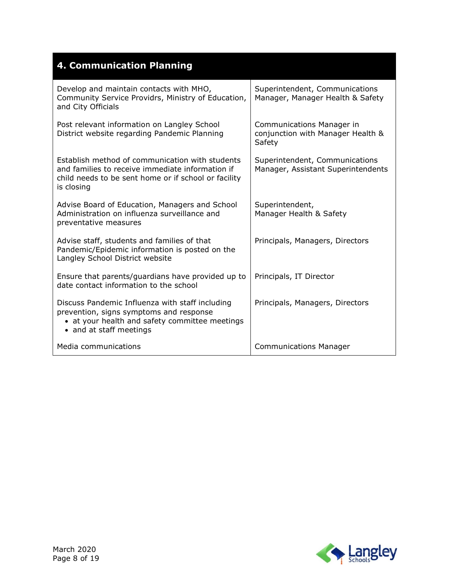| <b>4. Communication Planning</b>                                                                                                                                          |                                                                                 |
|---------------------------------------------------------------------------------------------------------------------------------------------------------------------------|---------------------------------------------------------------------------------|
| Develop and maintain contacts with MHO,<br>Community Service Providrs, Ministry of Education,<br>and City Officials                                                       | Superintendent, Communications<br>Manager, Manager Health & Safety              |
| Post relevant information on Langley School<br>District website regarding Pandemic Planning                                                                               | <b>Communications Manager in</b><br>conjunction with Manager Health &<br>Safety |
| Establish method of communication with students<br>and families to receive immediate information if<br>child needs to be sent home or if school or facility<br>is closing | Superintendent, Communications<br>Manager, Assistant Superintendents            |
| Advise Board of Education, Managers and School<br>Administration on influenza surveillance and<br>preventative measures                                                   | Superintendent,<br>Manager Health & Safety                                      |
| Advise staff, students and families of that<br>Pandemic/Epidemic information is posted on the<br>Langley School District website                                          | Principals, Managers, Directors                                                 |
| Ensure that parents/guardians have provided up to<br>date contact information to the school                                                                               | Principals, IT Director                                                         |
| Discuss Pandemic Influenza with staff including<br>prevention, signs symptoms and response<br>• at your health and safety committee meetings<br>• and at staff meetings   | Principals, Managers, Directors                                                 |
| Media communications                                                                                                                                                      | <b>Communications Manager</b>                                                   |

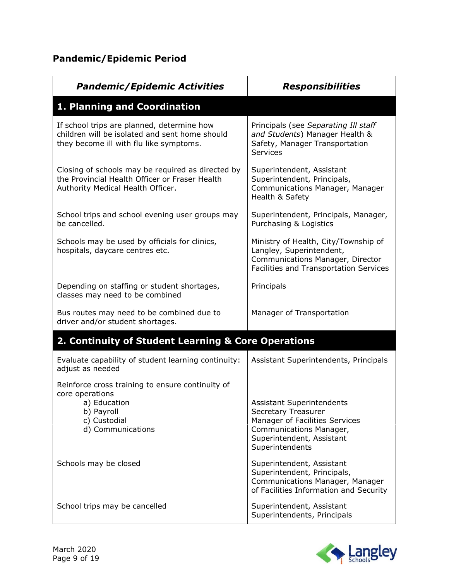## **Pandemic/Epidemic Period**

| <b>Pandemic/Epidemic Activities</b>                                                                                                      | <b>Responsibilities</b>                                                                                                                                       |
|------------------------------------------------------------------------------------------------------------------------------------------|---------------------------------------------------------------------------------------------------------------------------------------------------------------|
| 1. Planning and Coordination                                                                                                             |                                                                                                                                                               |
| If school trips are planned, determine how<br>children will be isolated and sent home should<br>they become ill with flu like symptoms.  | Principals (see Separating Ill staff<br>and Students) Manager Health &<br>Safety, Manager Transportation<br><b>Services</b>                                   |
| Closing of schools may be required as directed by<br>the Provincial Health Officer or Fraser Health<br>Authority Medical Health Officer. | Superintendent, Assistant<br>Superintendent, Principals,<br>Communications Manager, Manager<br>Health & Safety                                                |
| School trips and school evening user groups may<br>be cancelled.                                                                         | Superintendent, Principals, Manager,<br>Purchasing & Logistics                                                                                                |
| Schools may be used by officials for clinics,<br>hospitals, daycare centres etc.                                                         | Ministry of Health, City/Township of<br>Langley, Superintendent,<br>Communications Manager, Director<br>Facilities and Transportation Services                |
| Depending on staffing or student shortages,<br>classes may need to be combined                                                           | Principals                                                                                                                                                    |
| Bus routes may need to be combined due to<br>driver and/or student shortages.                                                            | Manager of Transportation                                                                                                                                     |
| 2. Continuity of Student Learning & Core Operations                                                                                      |                                                                                                                                                               |
| Evaluate capability of student learning continuity:<br>adjust as needed                                                                  | Assistant Superintendents, Principals                                                                                                                         |
| Reinforce cross training to ensure continuity of<br>core operations<br>a) Education<br>b) Payroll<br>c) Custodial<br>d) Communications   | Assistant Superintendents<br>Secretary Treasurer<br>Manager of Facilities Services<br>Communications Manager,<br>Superintendent, Assistant<br>Superintendents |
| Schools may be closed                                                                                                                    | Superintendent, Assistant<br>Superintendent, Principals,<br>Communications Manager, Manager<br>of Facilities Information and Security                         |
| School trips may be cancelled                                                                                                            | Superintendent, Assistant<br>Superintendents, Principals                                                                                                      |

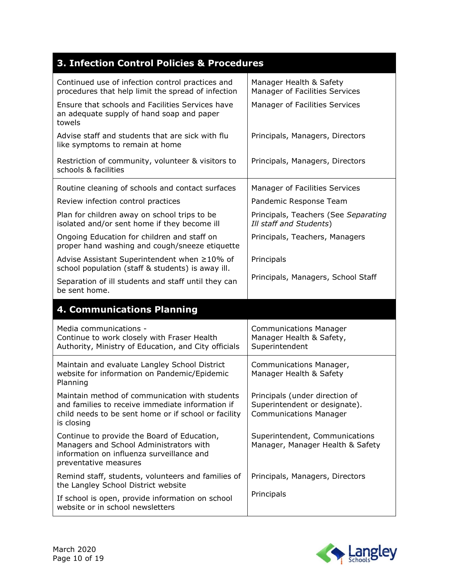| 3. Infection Control Policies & Procedures                                                                                                                               |                                                                                                  |
|--------------------------------------------------------------------------------------------------------------------------------------------------------------------------|--------------------------------------------------------------------------------------------------|
| Continued use of infection control practices and<br>procedures that help limit the spread of infection                                                                   | Manager Health & Safety<br>Manager of Facilities Services                                        |
| Ensure that schools and Facilities Services have<br>an adequate supply of hand soap and paper<br>towels                                                                  | Manager of Facilities Services                                                                   |
| Advise staff and students that are sick with flu<br>like symptoms to remain at home                                                                                      | Principals, Managers, Directors                                                                  |
| Restriction of community, volunteer & visitors to<br>schools & facilities                                                                                                | Principals, Managers, Directors                                                                  |
| Routine cleaning of schools and contact surfaces                                                                                                                         | Manager of Facilities Services                                                                   |
| Review infection control practices                                                                                                                                       | Pandemic Response Team                                                                           |
| Plan for children away on school trips to be<br>isolated and/or sent home if they become ill                                                                             | Principals, Teachers (See Separating<br>Ill staff and Students)                                  |
| Ongoing Education for children and staff on<br>proper hand washing and cough/sneeze etiquette                                                                            | Principals, Teachers, Managers                                                                   |
| Advise Assistant Superintendent when ≥10% of<br>school population (staff & students) is away ill.                                                                        | Principals                                                                                       |
| Separation of ill students and staff until they can<br>be sent home.                                                                                                     | Principals, Managers, School Staff                                                               |
|                                                                                                                                                                          |                                                                                                  |
| <b>4. Communications Planning</b>                                                                                                                                        |                                                                                                  |
| Media communications -<br>Continue to work closely with Fraser Health<br>Authority, Ministry of Education, and City officials                                            | <b>Communications Manager</b><br>Manager Health & Safety,<br>Superintendent                      |
| Maintain and evaluate Langley School District<br>website for information on Pandemic/Epidemic<br>Planning                                                                | Communications Manager,<br>Manager Health & Safety                                               |
| Maintain method of communication with students<br>and families to receive immediate information if<br>child needs to be sent home or if school or facility<br>is closing | Principals (under direction of<br>Superintendent or designate).<br><b>Communications Manager</b> |
| Continue to provide the Board of Education,<br>Managers and School Administrators with<br>information on influenza surveillance and<br>preventative measures             | Superintendent, Communications<br>Manager, Manager Health & Safety                               |
| Remind staff, students, volunteers and families of<br>the Langley School District website                                                                                | Principals, Managers, Directors                                                                  |

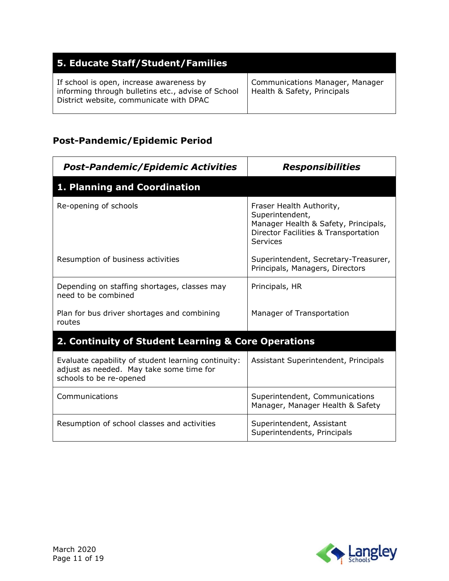| 5. Educate Staff/Student/Families                                                                                                         |                                                                |
|-------------------------------------------------------------------------------------------------------------------------------------------|----------------------------------------------------------------|
| If school is open, increase awareness by<br>informing through bulletins etc., advise of School<br>District website, communicate with DPAC | Communications Manager, Manager<br>Health & Safety, Principals |

## **Post-Pandemic/Epidemic Period**

| <b>Post-Pandemic/Epidemic Activities</b>                                                                                   | <b>Responsibilities</b>                                                                                                                 |
|----------------------------------------------------------------------------------------------------------------------------|-----------------------------------------------------------------------------------------------------------------------------------------|
| 1. Planning and Coordination                                                                                               |                                                                                                                                         |
| Re-opening of schools                                                                                                      | Fraser Health Authority,<br>Superintendent,<br>Manager Health & Safety, Principals,<br>Director Facilities & Transportation<br>Services |
| Resumption of business activities                                                                                          | Superintendent, Secretary-Treasurer,<br>Principals, Managers, Directors                                                                 |
| Depending on staffing shortages, classes may<br>need to be combined                                                        | Principals, HR                                                                                                                          |
| Plan for bus driver shortages and combining<br>routes                                                                      | Manager of Transportation                                                                                                               |
| 2. Continuity of Student Learning & Core Operations                                                                        |                                                                                                                                         |
| Evaluate capability of student learning continuity:<br>adjust as needed. May take some time for<br>schools to be re-opened | Assistant Superintendent, Principals                                                                                                    |
| Communications                                                                                                             | Superintendent, Communications<br>Manager, Manager Health & Safety                                                                      |
| Resumption of school classes and activities                                                                                | Superintendent, Assistant<br>Superintendents, Principals                                                                                |

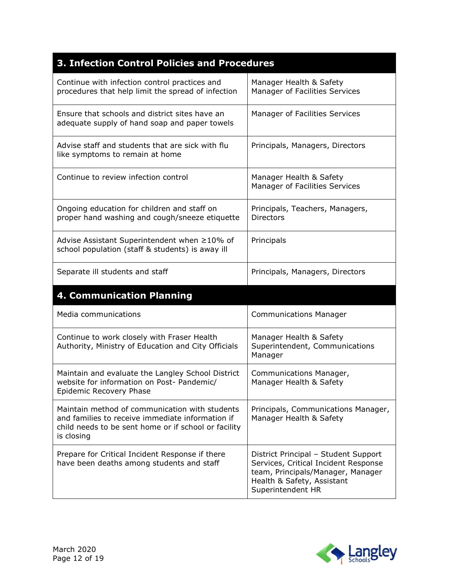| 3. Infection Control Policies and Procedures                                                                                                                             |                                                                                                                                                                      |
|--------------------------------------------------------------------------------------------------------------------------------------------------------------------------|----------------------------------------------------------------------------------------------------------------------------------------------------------------------|
| Continue with infection control practices and<br>procedures that help limit the spread of infection                                                                      | Manager Health & Safety<br>Manager of Facilities Services                                                                                                            |
| Ensure that schools and district sites have an<br>adequate supply of hand soap and paper towels                                                                          | Manager of Facilities Services                                                                                                                                       |
| Advise staff and students that are sick with flu<br>like symptoms to remain at home                                                                                      | Principals, Managers, Directors                                                                                                                                      |
| Continue to review infection control                                                                                                                                     | Manager Health & Safety<br>Manager of Facilities Services                                                                                                            |
| Ongoing education for children and staff on<br>proper hand washing and cough/sneeze etiquette                                                                            | Principals, Teachers, Managers,<br><b>Directors</b>                                                                                                                  |
| Advise Assistant Superintendent when ≥10% of<br>school population (staff & students) is away ill                                                                         | Principals                                                                                                                                                           |
| Separate ill students and staff                                                                                                                                          | Principals, Managers, Directors                                                                                                                                      |
| <b>4. Communication Planning</b>                                                                                                                                         |                                                                                                                                                                      |
| Media communications                                                                                                                                                     | <b>Communications Manager</b>                                                                                                                                        |
| Continue to work closely with Fraser Health<br>Authority, Ministry of Education and City Officials                                                                       | Manager Health & Safety<br>Superintendent, Communications<br>Manager                                                                                                 |
| Maintain and evaluate the Langley School District<br>website for information on Post- Pandemic/<br>Epidemic Recovery Phase                                               | Communications Manager,<br>Manager Health & Safety                                                                                                                   |
| Maintain method of communication with students<br>and families to receive immediate information if<br>child needs to be sent home or if school or facility<br>is closing | Principals, Communications Manager,<br>Manager Health & Safety                                                                                                       |
| Prepare for Critical Incident Response if there<br>have been deaths among students and staff                                                                             | District Principal - Student Support<br>Services, Critical Incident Response<br>team, Principals/Manager, Manager<br>Health & Safety, Assistant<br>Superintendent HR |

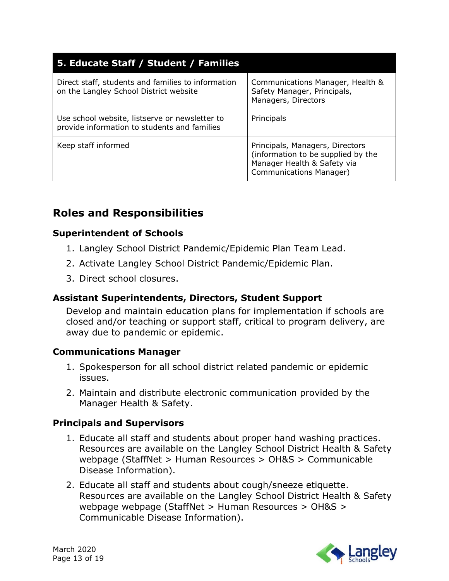| 5. Educate Staff / Student / Families                                                          |                                                                                                                                 |
|------------------------------------------------------------------------------------------------|---------------------------------------------------------------------------------------------------------------------------------|
| Direct staff, students and families to information<br>on the Langley School District website   | Communications Manager, Health &<br>Safety Manager, Principals,<br>Managers, Directors                                          |
| Use school website, listserve or newsletter to<br>provide information to students and families | Principals                                                                                                                      |
| Keep staff informed                                                                            | Principals, Managers, Directors<br>(information to be supplied by the<br>Manager Health & Safety via<br>Communications Manager) |

## **Roles and Responsibilities**

#### **Superintendent of Schools**

- 1. Langley School District Pandemic/Epidemic Plan Team Lead.
- 2. Activate Langley School District Pandemic/Epidemic Plan.
- 3. Direct school closures.

#### **Assistant Superintendents, Directors, Student Support**

Develop and maintain education plans for implementation if schools are closed and/or teaching or support staff, critical to program delivery, are away due to pandemic or epidemic.

#### **Communications Manager**

- 1. Spokesperson for all school district related pandemic or epidemic issues.
- 2. Maintain and distribute electronic communication provided by the Manager Health & Safety.

#### **Principals and Supervisors**

- 1. Educate all staff and students about proper hand washing practices. Resources are available on the Langley School District Health & Safety webpage (StaffNet > Human Resources > OH&S > Communicable Disease Information).
- 2. Educate all staff and students about cough/sneeze etiquette. Resources are available on the Langley School District Health & Safety webpage webpage (StaffNet > Human Resources > OH&S > Communicable Disease Information).

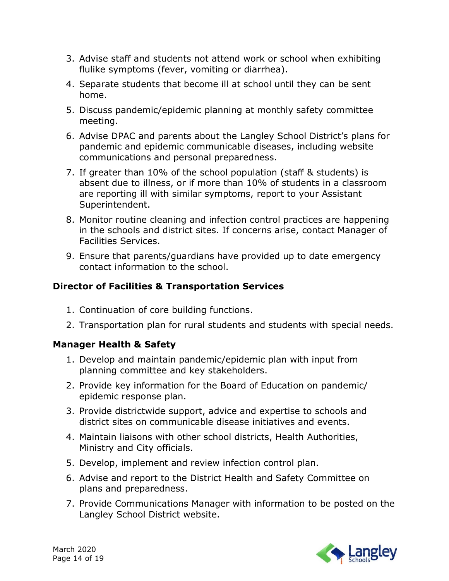- 3. Advise staff and students not attend work or school when exhibiting flulike symptoms (fever, vomiting or diarrhea).
- 4. Separate students that become ill at school until they can be sent home.
- 5. Discuss pandemic/epidemic planning at monthly safety committee meeting.
- 6. Advise DPAC and parents about the Langley School District's plans for pandemic and epidemic communicable diseases, including website communications and personal preparedness.
- 7. If greater than 10% of the school population (staff & students) is absent due to illness, or if more than 10% of students in a classroom are reporting ill with similar symptoms, report to your Assistant Superintendent.
- 8. Monitor routine cleaning and infection control practices are happening in the schools and district sites. If concerns arise, contact Manager of Facilities Services.
- 9. Ensure that parents/guardians have provided up to date emergency contact information to the school.

#### **Director of Facilities & Transportation Services**

- 1. Continuation of core building functions.
- 2. Transportation plan for rural students and students with special needs.

#### **Manager Health & Safety**

- 1. Develop and maintain pandemic/epidemic plan with input from planning committee and key stakeholders.
- 2. Provide key information for the Board of Education on pandemic/ epidemic response plan.
- 3. Provide districtwide support, advice and expertise to schools and district sites on communicable disease initiatives and events.
- 4. Maintain liaisons with other school districts, Health Authorities, Ministry and City officials.
- 5. Develop, implement and review infection control plan.
- 6. Advise and report to the District Health and Safety Committee on plans and preparedness.
- 7. Provide Communications Manager with information to be posted on the Langley School District website.

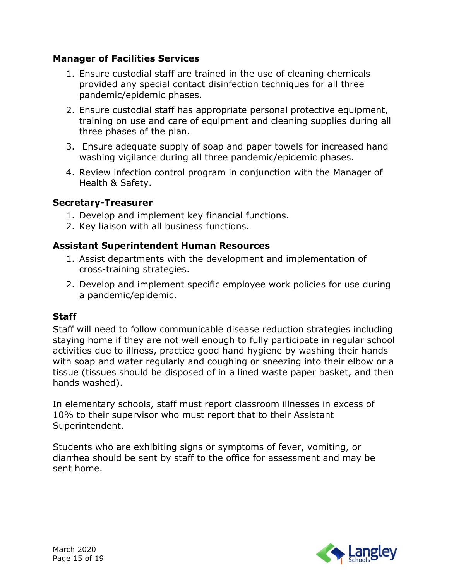#### **Manager of Facilities Services**

- 1. Ensure custodial staff are trained in the use of cleaning chemicals provided any special contact disinfection techniques for all three pandemic/epidemic phases.
- 2. Ensure custodial staff has appropriate personal protective equipment, training on use and care of equipment and cleaning supplies during all three phases of the plan.
- 3. Ensure adequate supply of soap and paper towels for increased hand washing vigilance during all three pandemic/epidemic phases.
- 4. Review infection control program in conjunction with the Manager of Health & Safety.

#### **Secretary-Treasurer**

- 1. Develop and implement key financial functions.
- 2. Key liaison with all business functions.

#### **Assistant Superintendent Human Resources**

- 1. Assist departments with the development and implementation of cross-training strategies.
- 2. Develop and implement specific employee work policies for use during a pandemic/epidemic.

#### **Staff**

Staff will need to follow communicable disease reduction strategies including staying home if they are not well enough to fully participate in regular school activities due to illness, practice good hand hygiene by washing their hands with soap and water regularly and coughing or sneezing into their elbow or a tissue (tissues should be disposed of in a lined waste paper basket, and then hands washed).

In elementary schools, staff must report classroom illnesses in excess of 10% to their supervisor who must report that to their Assistant Superintendent.

Students who are exhibiting signs or symptoms of fever, vomiting, or diarrhea should be sent by staff to the office for assessment and may be sent home.

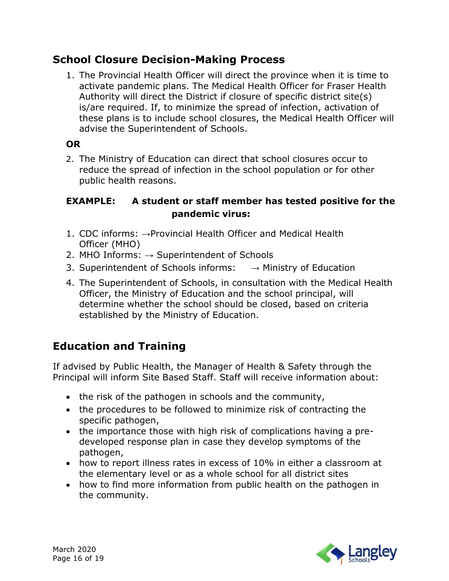## **School Closure Decision-Making Process**

1. The Provincial Health Officer will direct the province when it is time to activate pandemic plans. The Medical Health Officer for Fraser Health Authority will direct the District if closure of specific district site(s) is/are required. If, to minimize the spread of infection, activation of these plans is to include school closures, the Medical Health Officer will advise the Superintendent of Schools.

#### **OR**

2. The Ministry of Education can direct that school closures occur to reduce the spread of infection in the school population or for other public health reasons.

#### **EXAMPLE: A student or staff member has tested positive for the pandemic virus:**

- 1. CDC informs: →Provincial Health Officer and Medical Health Officer (MHO)
- 2. MHO Informs:  $\rightarrow$  Superintendent of Schools
- 3. Superintendent of Schools informs:  $\rightarrow$  Ministry of Education
- 4. The Superintendent of Schools, in consultation with the Medical Health Officer, the Ministry of Education and the school principal, will determine whether the school should be closed, based on criteria established by the Ministry of Education.

## **Education and Training**

If advised by Public Health, the Manager of Health & Safety through the Principal will inform Site Based Staff. Staff will receive information about:

- the risk of the pathogen in schools and the community,
- the procedures to be followed to minimize risk of contracting the specific pathogen,
- the importance those with high risk of complications having a predeveloped response plan in case they develop symptoms of the pathogen,
- how to report illness rates in excess of 10% in either a classroom at the elementary level or as a whole school for all district sites
- how to find more information from public health on the pathogen in the community.

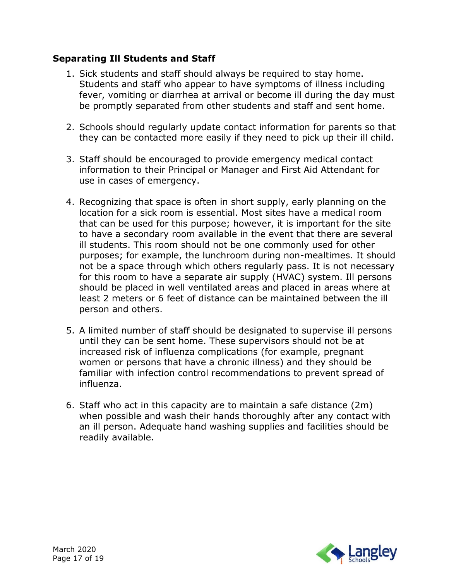#### **Separating Ill Students and Staff**

- 1. Sick students and staff should always be required to stay home. Students and staff who appear to have symptoms of illness including fever, vomiting or diarrhea at arrival or become ill during the day must be promptly separated from other students and staff and sent home.
- 2. Schools should regularly update contact information for parents so that they can be contacted more easily if they need to pick up their ill child.
- 3. Staff should be encouraged to provide emergency medical contact information to their Principal or Manager and First Aid Attendant for use in cases of emergency.
- 4. Recognizing that space is often in short supply, early planning on the location for a sick room is essential. Most sites have a medical room that can be used for this purpose; however, it is important for the site to have a secondary room available in the event that there are several ill students. This room should not be one commonly used for other purposes; for example, the lunchroom during non-mealtimes. It should not be a space through which others regularly pass. It is not necessary for this room to have a separate air supply (HVAC) system. Ill persons should be placed in well ventilated areas and placed in areas where at least 2 meters or 6 feet of distance can be maintained between the ill person and others.
- 5. A limited number of staff should be designated to supervise ill persons until they can be sent home. These supervisors should not be at increased risk of influenza complications (for example, pregnant women or persons that have a chronic illness) and they should be familiar with infection control recommendations to prevent spread of influenza.
- 6. Staff who act in this capacity are to maintain a safe distance (2m) when possible and wash their hands thoroughly after any contact with an ill person. Adequate hand washing supplies and facilities should be readily available.

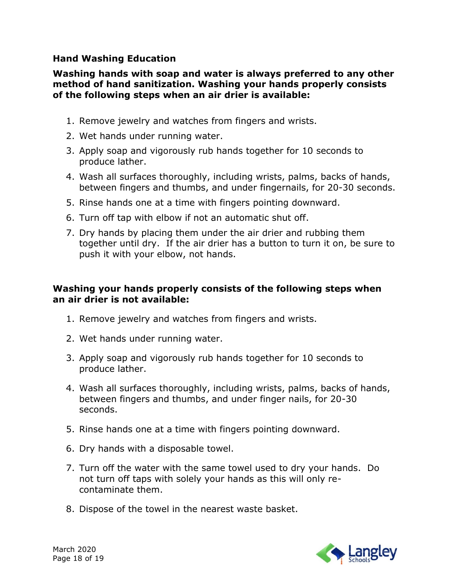#### **Hand Washing Education**

#### **Washing hands with soap and water is always preferred to any other method of hand sanitization. Washing your hands properly consists of the following steps when an air drier is available:**

- 1. Remove jewelry and watches from fingers and wrists.
- 2. Wet hands under running water.
- 3. Apply soap and vigorously rub hands together for 10 seconds to produce lather.
- 4. Wash all surfaces thoroughly, including wrists, palms, backs of hands, between fingers and thumbs, and under fingernails, for 20-30 seconds.
- 5. Rinse hands one at a time with fingers pointing downward.
- 6. Turn off tap with elbow if not an automatic shut off.
- 7. Dry hands by placing them under the air drier and rubbing them together until dry. If the air drier has a button to turn it on, be sure to push it with your elbow, not hands.

#### **Washing your hands properly consists of the following steps when an air drier is not available:**

- 1. Remove jewelry and watches from fingers and wrists.
- 2. Wet hands under running water.
- 3. Apply soap and vigorously rub hands together for 10 seconds to produce lather.
- 4. Wash all surfaces thoroughly, including wrists, palms, backs of hands, between fingers and thumbs, and under finger nails, for 20-30 seconds.
- 5. Rinse hands one at a time with fingers pointing downward.
- 6. Dry hands with a disposable towel.
- 7. Turn off the water with the same towel used to dry your hands. Do not turn off taps with solely your hands as this will only recontaminate them.
- 8. Dispose of the towel in the nearest waste basket.